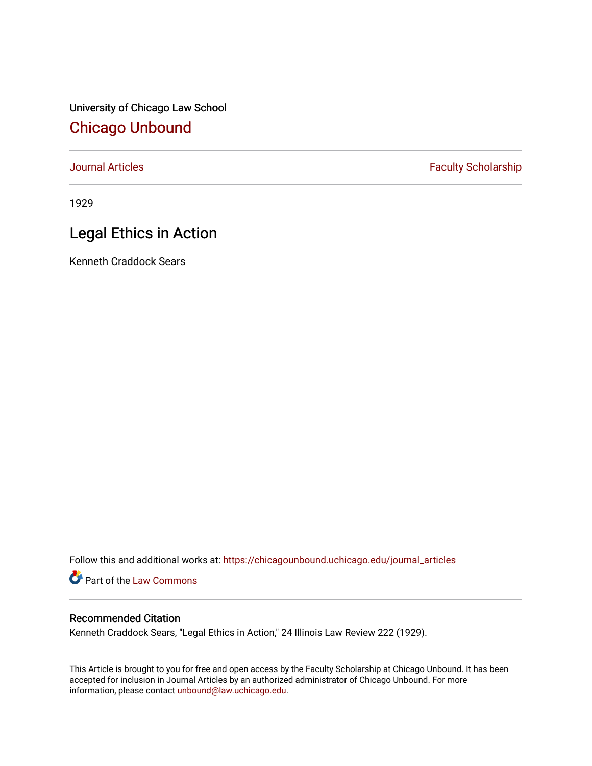University of Chicago Law School [Chicago Unbound](https://chicagounbound.uchicago.edu/)

[Journal Articles](https://chicagounbound.uchicago.edu/journal_articles) **Faculty Scholarship Faculty Scholarship** 

1929

# Legal Ethics in Action

Kenneth Craddock Sears

Follow this and additional works at: [https://chicagounbound.uchicago.edu/journal\\_articles](https://chicagounbound.uchicago.edu/journal_articles?utm_source=chicagounbound.uchicago.edu%2Fjournal_articles%2F9228&utm_medium=PDF&utm_campaign=PDFCoverPages) 

Part of the [Law Commons](http://network.bepress.com/hgg/discipline/578?utm_source=chicagounbound.uchicago.edu%2Fjournal_articles%2F9228&utm_medium=PDF&utm_campaign=PDFCoverPages)

## Recommended Citation

Kenneth Craddock Sears, "Legal Ethics in Action," 24 Illinois Law Review 222 (1929).

This Article is brought to you for free and open access by the Faculty Scholarship at Chicago Unbound. It has been accepted for inclusion in Journal Articles by an authorized administrator of Chicago Unbound. For more information, please contact [unbound@law.uchicago.edu](mailto:unbound@law.uchicago.edu).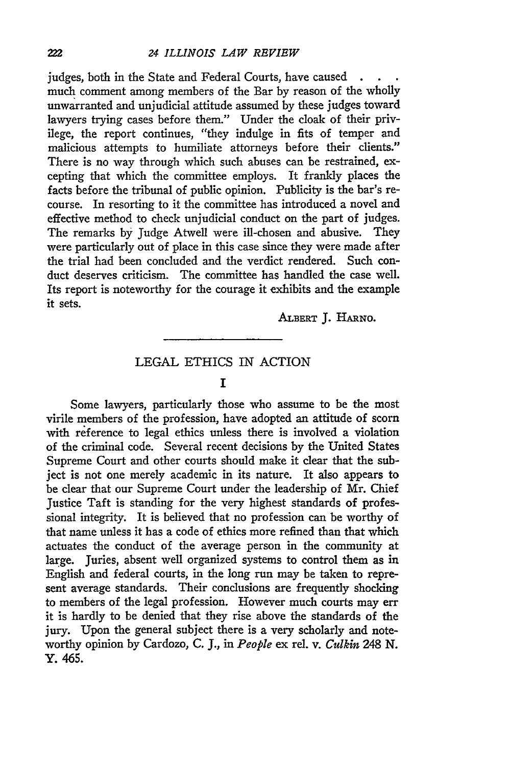#### *24 ILLINOIS LAW REVIEW*

judges, both in the State and Federal Courts, have caused. much comment among members of the Bar by reason of the wholly unwarranted and unjudicial attitude assumed by these judges toward lawyers trying cases before them." Under the cloak of their privilege, the report continues, "they indulge in fits of temper and malicious attempts to humiliate attorneys before their clients." There is no way through which such abuses can be restrained, excepting that which the committee employs. It frankly places the facts before the tribunal of public opinion. Publicity is the bar's recourse. In resorting to it the committee has introduced a novel and effective method to check unjudicial conduct on the part of judges. The remarks by Judge Atwell were ill-chosen and abusive. They were particularly out of place in this case since they were made after the trial had been concluded and the verdict rendered. Such conduct deserves criticism. The committee has handled the case well. Its report is noteworthy for the courage it exhibits and the example it sets.

**ALBERT J. HARNO.**

### LEGAL ETHICS IN ACTION

#### **I**

Some lawyers, particularly those who assume to be the most virile members of the profession, have adopted an attitude of scorn with reference to legal ethics unless there is involved a violation of the criminal code. Several recent decisions by the United States Supreme Court and other courts should make it clear that the subject is not one merely academic in its nature. It also appears to be clear that our Supreme Court under the leadership of Mr. Chief Justice Taft is standing for the very highest standards of professional integrity. It is believed that no profession can be worthy of that name unless it has a code of ethics more refined than that which actuates the conduct of the average person in the community at large. Juries, absent well organized systems to control them as in English and federal courts, in the long run may be taken to represent average standards. Their conclusions are frequently shocking to members of the legal profession. However much courts may err it is hardly to be denied that they rise above the standards of the jury. Upon the general subject there is a very scholarly and noteworthy opinion by Cardozo, C. J., in *People* ex rel. v. *Culkin 248* N. Y. 465.

222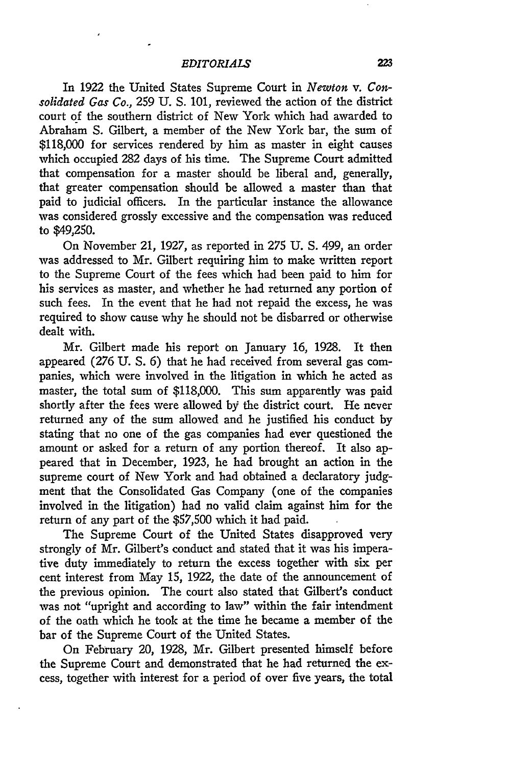In 1922 the United States Supreme Court in *Newton v. Consolidated Gas Co.,* **259 U. S.** 101, reviewed the action of the district court of the southern district of New York which had awarded to Abraham S. Gilbert, a member of the New York bar, the sum of \$118,000 for services rendered by him as master in eight causes which occupied 282 days of his time. The Supreme Court admitted that compensation for a master should be liberal and, generally, that greater compensation should be allowed a master than that paid to judicial officers. In the particular instance the allowance was considered grossly excessive and the compensation was reduced to \$49,250.

On November 21, 1927, as reported in 275 U. **S.** 499, an order was addressed to Mr. Gilbert requiring him to make written report to the Supreme Court of the fees which had been paid to him for his services as master, and whether he had returned any portion of such fees. In the event that he had not repaid the excess, he was required to show cause why he should not be disbarred or otherwise dealt with.

Mr. Gilbert made his report on January 16, 1928. It then appeared (276 U. **S. 6)** that he had received from several gas companies, which were involved in the litigation in which he acted as master, the total sum of \$118,000. This sum apparently was paid shortly after the fees were allowed by the district court. He never returned any of the sum allowed and he justified his conduct by stating that no one of the gas companies had ever questioned the amount or asked for a return of any portion thereof. It also appeared that in December, 1923, he had brought an action in the supreme court of New York and had obtained a declaratory **judg**ment that the Consolidated Gas Company (one of the companies involved in the litigation) had no valid claim against him for the return of any part of the \$57,500 which it had paid.

The Supreme Court of the United States disapproved very strongly of Mr. Gilbert's conduct and stated that it was his imperative duty immediately to return the excess together with six per cent interest from May **15,** 1922, the date of the announcement of the previous opinion. The court also stated that Gilbert's conduct was not "upright and according to law" within the fair intendment of the oath which he took at the time he became a member of the bar of the Supreme Court of the United States.

On February 20, 1928, Mr. Gilbert presented himself before the Supreme Court and demonstrated that he had returned the excess, together with interest for a period of over five years, the total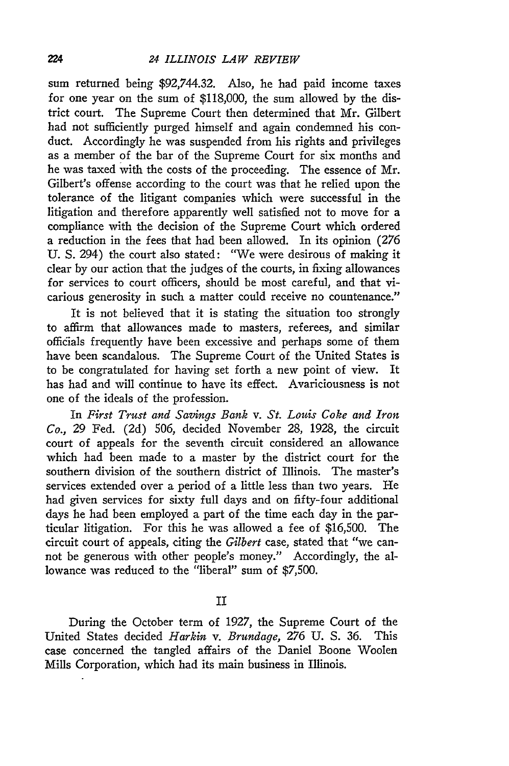sum returned being \$92,744.32. Also, he had paid income taxes for one year on the sum of \$118,000, the sum allowed by the district court. The Supreme Court then determined that Mr. Gilbert had not sufficiently purged himself and again condemned his conduct. Accordingly he was suspended from his rights and privileges as a member of the bar of the Supreme Court for six months and he was taxed with the costs of the proceeding. The essence of Mr. Gilbert's offense according to the court was that he relied upon the tolerance of the litigant companies which were successful in the litigation and therefore apparently well satisfied not to move for a compliance with the decision of the Supreme Court which ordered a reduction in the fees that had been allowed. In its opinion (276 U. S. 294) the court also stated: "We were desirous of making it clear by our action that the judges of the courts, in fixing allowances for services to court officers, should be most careful, and that vicarious generosity in such a matter could receive no countenance."

It is not believed that it is stating the situation too strongly to affirm that allowances made to masters, referees, and similar officials frequently have been excessive and perhaps some of them have been scandalous. The Supreme Court of the United States is to be congratulated for having set forth a new point of view. It has had and will continue to have its effect. Avariciousness is not one of the ideals of the profession.

In *First Trust and Savings Bank v. St. Louis Coke and Iron Co.,* 29 Fed. (2d) 506, decided November 28, 1928, the circuit court of appeals for the seventh circuit considered an allowance which had been made to a master by the district court for the southern division of the southern district of Illinois. The master's services extended over a period of a little less than two years. He had given services for sixty full days and on fifty-four additional days he had been employed a part of the time each day in the particular litigation. For this he was allowed a fee of \$16,500. The circuit court of appeals, citing the *Gilbert* case, stated that "we cannot be generous with other people's money." Accordingly, the allowance was reduced to the "liberal" sum of \$7,500.

II

During the October term of 1927, the Supreme Court of the United States decided *Harkin v. Brundage,* 276 U. **S.** 36. This case concerned the tangled affairs of the Daniel Boone Woolen Mills Corporation, which had its main business in Illinois.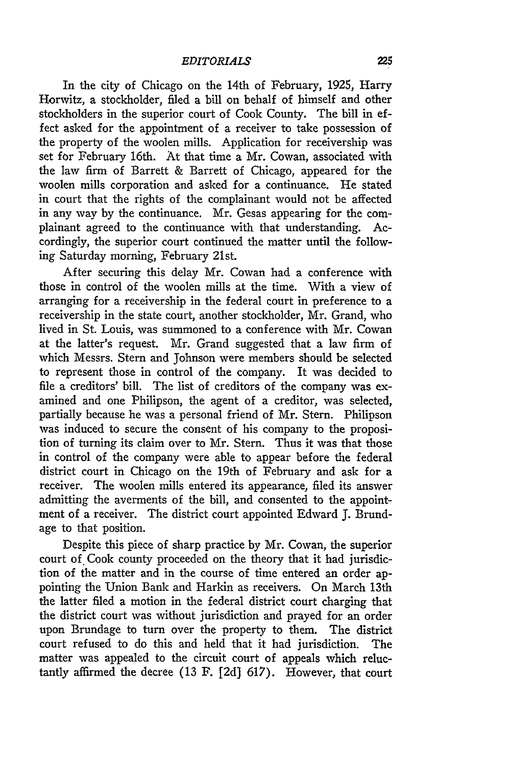In the city of Chicago on the 14th of February, 1925, Harry Horwitz, a stockholder, filed a bill on behalf of himself and other stockholders in the superior court of Cook County. The bill in effect asked for the appointment of a receiver to take possession of the property of the woolen mills. Application for receivership was set for February 16th. At that time a Mr. Cowan, associated with the law firm of Barrett & Barrett of Chicago, appeared for the woolen mills corporation and asked for a continuance. He stated in court that the rights of the complainant would not be affected in any way by the continuance. Mr. Gesas appearing for the complainant agreed to the continuance with that understanding. Accordingly, the superior court continued the matter until the following Saturday morning, February 21st.

After securing this delay Mr. Cowan had a conference with those in control of the woolen mills at the time. With a view of arranging for a receivership in the federal court in preference to a receivership in the state court, another stockholder, Mr. Grand, who lived in St. Louis, was summoned to a conference with Mr. Cowan at the latter's request. Mr. Grand suggested that a law firm of which Messrs. Stern and Johnson were members should be selected to represent those in control of the company. It was decided to file a creditors' bill. The list of creditors of the company was examined and one Philipson, the agent of a creditor, was selected, partially because he was a personal friend of Mr. Stern. Philipson was induced to secure the consent of his company to the proposition of turning its claim over to Mr. Stern. Thus it was that those in control of the company were able to appear before the federal district court in Chicago on the 19th of February and ask for a receiver. The woolen mills entered its appearance, filed its answer admitting the averments of the bill, and consented to the appointment of a receiver. The district court appointed Edward J. Brundage to that position.

Despite this piece of sharp practice by Mr. Cowan, the superior court of Cook county proceeded on the theory that it had jurisdiction of the matter and in the course of time entered an order appointing the Union Bank and Harkin as receivers. On March 13th the latter filed a motion in the federal district court charging that the district court was without jurisdiction and prayed for an order upon Brundage to turn over the property to them. The district court refused to do this and held that it had jurisdiction. The matter was appealed to the circuit court of appeals which reluctantly affirmed the decree (13 F. [2d] 617). However, that court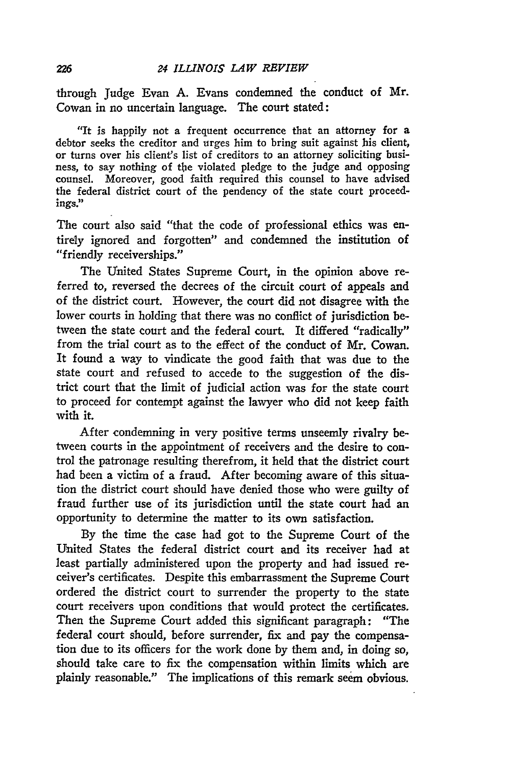through Judge Evan **A.** Evans condemned the conduct of Mr. Cowan in no uncertain language. The court stated:

"It is happily not a frequent occurrence that an attorney for a debtor seeks the creditor and urges him to bring suit against his client, or turns over his client's list of creditors to an attorney soliciting business, to say nothing of the violated pledge to the judge and opposing counsel. Moreover, good faith required this counsel to have advised the federal district court of the pendency of the state court proceedings."

The court also said "that the code of professional ethics was entirely ignored and forgotten" and condemned the institution of "friendly receiverships."

The United States Supreme Court, in the opinion above referred to, reversed the decrees of the circuit court of appeals and of the district court. However, the court did not disagree with the lower courts in holding that there was no conflict of jurisdiction between the state court and the federal court. It differed "radically" from the trial court as to the effect of the conduct of Mr. Cowan. It found a way to vindicate the good faith that was due to the state court and refused to accede to the suggestion of the district court that the limit of judicial action was for the state court to proceed for contempt against the lawyer who did not keep faith with it.

After condemning in very positive terms unseemly rivalry between courts in the appointment of receivers and the desire to control the patronage resulting therefrom, it held that the district court had been a victim of a fraud. After becoming aware of this situation the district court should have denied those who were guilty of fraud further use of its jurisdiction until the state court had an opportunity to determine the matter to its own satisfaction.

By the time the case had got to the Supreme Court of the United States the federal district court and its receiver had at least partially administered upon the property and had issued receiver's certificates. Despite this embarrassment the Supreme Court ordered the district court to surrender the property to the state court receivers upon conditions that would protect the certificates. Then the Supreme Court added this significant paragraph: "The federal court should, before surrender, fix and pay the compensation due to its officers for the work done by them and, in doing so, should take care to fix the compensation within limits which are plainly reasonable." The implications of this remark seem obvious.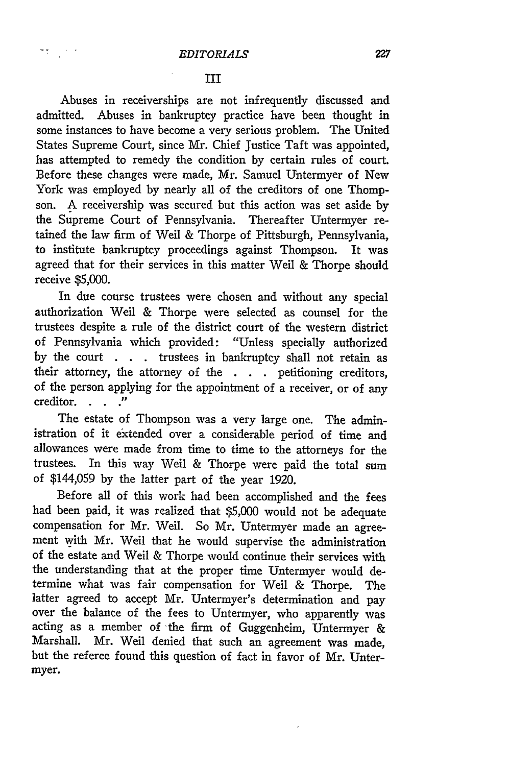アナリー・バイ

#### III

Abuses in receiverships are not infrequently discussed and admitted. Abuses in bankruptcy practice have been thought in some instances to have become a very serious problem. The United States Supreme Court, since Mr. Chief Justice Taft was appointed, has attempted to remedy the condition by certain rules of court. Before these changes were made, Mr. Samuel Untermyer of New York was employed by nearly all of the creditors of one Thompson. A receivership was secured but this action was set aside by the Supreme Court of Pennsylvania. Thereafter Untermyer retained the law firm of Weil & Thorpe of Pittsburgh, Pennsylvania, to institute bankruptcy proceedings against Thompson. It was agreed that for their services in this matter Weil & Thorpe should receive \$5,000.

In due course trustees were chosen and without any special authorization Weil & Thorpe were selected as counsel for the trustees despite a rule of the district court of the western district of Pennsylvania which provided: "Unless specially authorized by the court **. .** trustees in bankruptcy shall not retain as their attorney, the attorney of the **. . .** petitioning creditors, of the person applying for the appointment of a receiver, or of any creditor. .

The estate of Thompson was a very large one. The administration of it extended over a considerable period of time and allowances were made from time to time to the attorneys for the trustees. In this way Weil & Thorpe were paid the total sum of \$144,059 **by** the latter part of the year **1920.**

Before all of this work had been accomplished and the fees had been paid, it was realized that **\$5,000** would not be adequate compensation for Mr. Weil. So Mr. Untermyer made an agreement with Mr. Weil that he would supervise the administration of the estate and Weil & Thorpe would continue their services with the understanding that at the proper time Untermyer would determine what was fair compensation for Weil **&** Thorpe. The latter agreed to accept Mr. Untermyer's determination and pay over the balance of the fees to Untermyer, who apparently was acting as a member of the firm of Guggenheim, Untermyer & Marshall. Mr. Weil denied that such an agreement was made, but the referee found this question of fact in favor of Mr. Untermyer.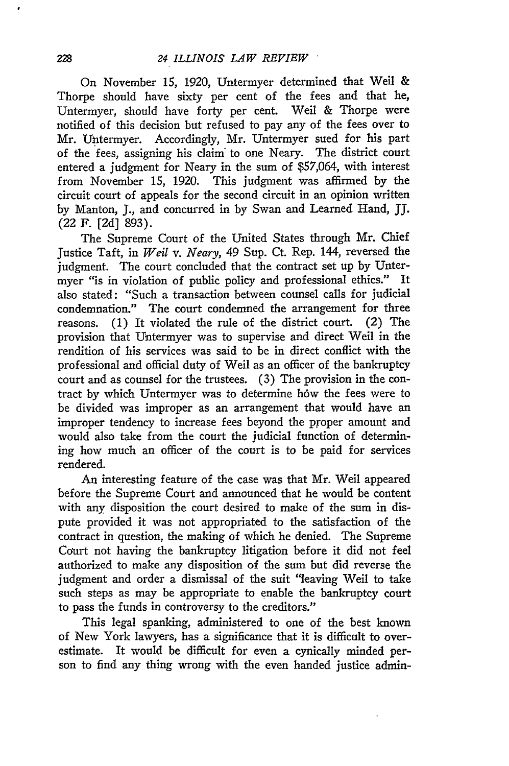On November **15,** 1920, Untermyer determined that Weil & Thorpe should have sixty per cent of the fees and that he, Untermyer, should have forty per cent. Weil & Thorpe were notified of this decision but refused to pay any of the fees over to Mr. Untermyer. Accordingly, Mr. Untermyer sued for his part of the fees, assigning his claim to one Neary. The district court entered a judgment for Neary in the sum of **\$57,064,** with interest from November **15,** 1920. This judgment was affirmed by the circuit court of appeals for the second circuit in an opinion written by Manton, J., and concurred in by Swan and Learned Hand, JJ. (22 F. **[2d] 893).**

The Supreme Court of the United States through Mr. Chief Justice Taft, in *Weil v. Neary,* 49 Sup. Ct. Rep. 144, reversed the judgment. The court concluded that the contract set up by Untermyer "is in violation of public policy and professional ethics." It also stated: "Such a transaction between counsel calls for judicial condemnation." The court condemned the arrangement for three reasons. (1) It violated the rule of the district court. (2) The provision that Untermyer was to supervise and direct Weil in the rendition of his services was said to be in direct conflict with the professional and official duty of Weil as an officer of the bankruptcy court and as counsel for the trustees. (3) The provision in the contract by which Untermyer was to determine how the fees were to be divided was improper as an arrangement that would have an improper tendency to increase fees beyond the proper amount and would also take from the court the judicial function of determining how much an officer of the court is to be paid for services rendered.

An interesting feature of the case was that Mr. Weil appeared before the Supreme Court and announced that he would be content with any disposition the court desired to make of the sum in dispute provided it was not appropriated to the satisfaction of the contract in question, the making of which he denied. The Supreme Court not having the bankruptcy litigation before it did not feel authorized to make any disposition of the sum but did reverse the judgment and order a dismissal of the suit "leaving Weil to take such steps as may be appropriate to enable the bankruptcy court to pass the funds in controversy to the creditors."

This legal spanking, administered to one of the best known of New York lawyers, has a significance that it is difficult to overestimate. It would be difficult for even a cynically minded person to find any thing wrong with the even handed justice admin